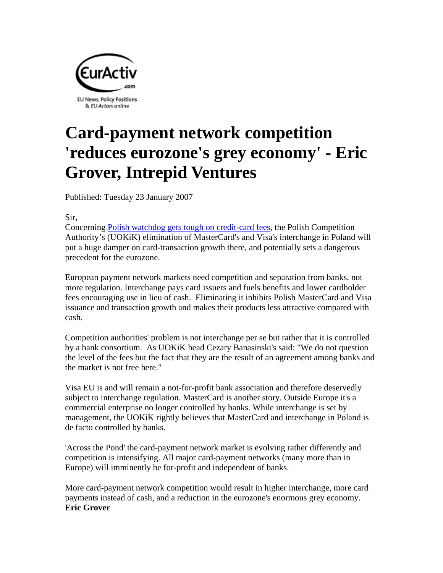

## **Card-payment network competition 'reduces eurozone's grey economy' - Eric Grover, Intrepid Ventures**

Published: Tuesday 23 January 2007

Sir,

Concerning Polish watchdog gets tough on credit-card fees, the Polish Competition Authority's (UOKiK) elimination of MasterCard's and Visa's interchange in Poland will put a huge damper on card-transaction growth there, and potentially sets a dangerous precedent for the eurozone.

European payment network markets need competition and separation from banks, not more regulation. Interchange pays card issuers and fuels benefits and lower cardholder fees encouraging use in lieu of cash. Eliminating it inhibits Polish MasterCard and Visa issuance and transaction growth and makes their products less attractive compared with cash.

Competition authorities' problem is not interchange per se but rather that it is controlled by a bank consortium. As UOKiK head Cezary Banasinski's said: "We do not question the level of the fees but the fact that they are the result of an agreement among banks and the market is not free here."

Visa EU is and will remain a not-for-profit bank association and therefore deservedly subject to interchange regulation. MasterCard is another story. Outside Europe it's a commercial enterprise no longer controlled by banks. While interchange is set by management, the UOKiK rightly believes that MasterCard and interchange in Poland is de facto controlled by banks.

'Across the Pond' the card-payment network market is evolving rather differently and competition is intensifying. All major card-payment networks (many more than in Europe) will imminently be for-profit and independent of banks.

More card-payment network competition would result in higher interchange, more card payments instead of cash, and a reduction in the eurozone's enormous grey economy. **Eric Grover**